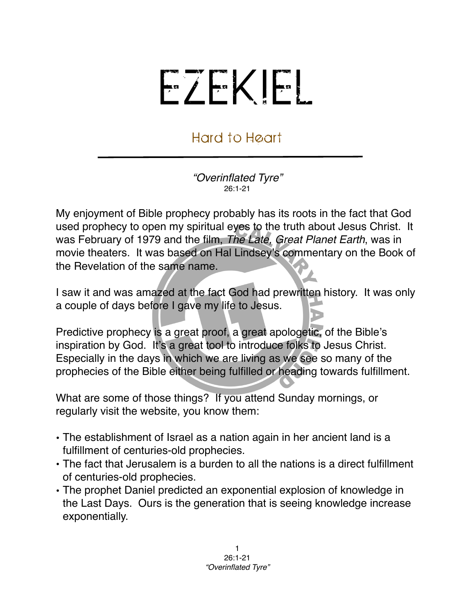## EZEKIEL

## Hard to Heart

*"Overinflated Tyre"* 26:1-21

My enjoyment of Bible prophecy probably has its roots in the fact that God used prophecy to open my spiritual eyes to the truth about Jesus Christ. It was February of 1979 and the film, *The Late, Great Planet Earth*, was in movie theaters. It was based on Hal Lindsey's commentary on the Book of the Revelation of the same name.

I saw it and was amazed at the fact God had prewritten history. It was only a couple of days before I gave my life to Jesus.

Predictive prophecy is a great proof, a great apologetic, of the Bible's inspiration by God. It's a great tool to introduce folks to Jesus Christ. Especially in the days in which we are living as we see so many of the prophecies of the Bible either being fulfilled or heading towards fulfillment.

What are some of those things? If you attend Sunday mornings, or regularly visit the website, you know them:

- The establishment of Israel as a nation again in her ancient land is a fulfillment of centuries-old prophecies.
- The fact that Jerusalem is a burden to all the nations is a direct fulfillment of centuries-old prophecies.
- The prophet Daniel predicted an exponential explosion of knowledge in the Last Days. Ours is the generation that is seeing knowledge increase exponentially.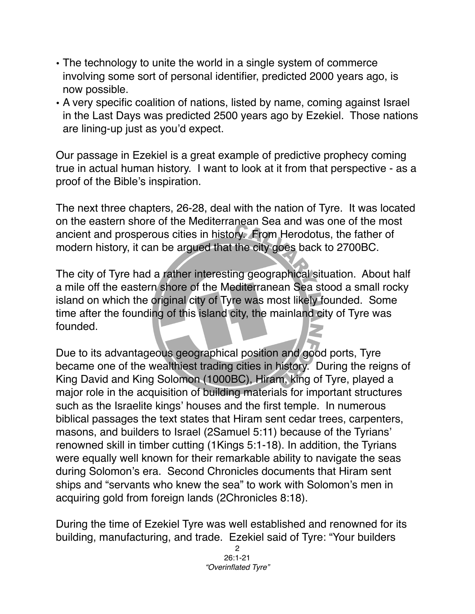- The technology to unite the world in a single system of commerce involving some sort of personal identifier, predicted 2000 years ago, is now possible.
- A very specific coalition of nations, listed by name, coming against Israel in the Last Days was predicted 2500 years ago by Ezekiel. Those nations are lining-up just as you'd expect.

Our passage in Ezekiel is a great example of predictive prophecy coming true in actual human history. I want to look at it from that perspective - as a proof of the Bible's inspiration.

The next three chapters, 26-28, deal with the nation of Tyre. It was located on the eastern shore of the Mediterranean Sea and was one of the most ancient and prosperous cities in history. From Herodotus, the father of modern history, it can be argued that the city goes back to 2700BC.

The city of Tyre had a rather interesting geographical situation. About half a mile off the eastern shore of the Mediterranean Sea stood a small rocky island on which the original city of Tyre was most likely founded. Some time after the founding of this island city, the mainland city of Tyre was founded.

Due to its advantageous geographical position and good ports, Tyre became one of the wealthiest trading cities in history. During the reigns of King David and King Solomon (1000BC), Hiram, king of Tyre, played a major role in the acquisition of building materials for important structures such as the Israelite kings' houses and the first temple. In numerous biblical passages the text states that Hiram sent cedar trees, carpenters, masons, and builders to Israel (2Samuel 5:11) because of the Tyrians' renowned skill in timber cutting (1Kings 5:1-18). In addition, the Tyrians were equally well known for their remarkable ability to navigate the seas during Solomon's era. Second Chronicles documents that Hiram sent ships and "servants who knew the sea" to work with Solomon's men in acquiring gold from foreign lands (2Chronicles 8:18).

During the time of Ezekiel Tyre was well established and renowned for its building, manufacturing, and trade. Ezekiel said of Tyre: "Your builders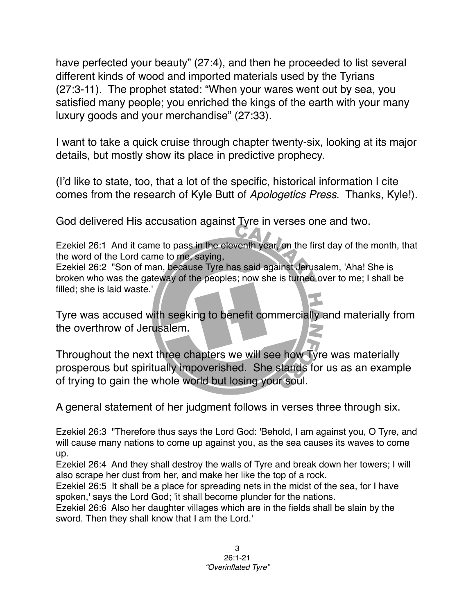have perfected your beauty" (27:4), and then he proceeded to list several different kinds of wood and imported materials used by the Tyrians (27:3-11). The prophet stated: "When your wares went out by sea, you satisfied many people; you enriched the kings of the earth with your many luxury goods and your merchandise" (27:33).

I want to take a quick cruise through chapter twenty-six, looking at its major details, but mostly show its place in predictive prophecy.

(I'd like to state, too, that a lot of the specific, historical information I cite comes from the research of Kyle Butt of *Apologetics Press*. Thanks, Kyle!).

God delivered His accusation against Tyre in verses one and two.

Ezekiel 26:1 And it came to pass in the eleventh year, on the first day of the month, that the word of the Lord came to me, saying,

Ezekiel 26:2 "Son of man, because Tyre has said against Jerusalem, 'Aha! She is broken who was the gateway of the peoples; now she is turned over to me; I shall be filled; she is laid waste.'

Tyre was accused with seeking to benefit commercially and materially from the overthrow of Jerusalem.

Throughout the next three chapters we will see how Tyre was materially prosperous but spiritually impoverished. She stands for us as an example of trying to gain the whole world but losing your soul.

A general statement of her judgment follows in verses three through six.

Ezekiel 26:3 "Therefore thus says the Lord God: 'Behold, I am against you, O Tyre, and will cause many nations to come up against you, as the sea causes its waves to come up.

Ezekiel 26:4 And they shall destroy the walls of Tyre and break down her towers; I will also scrape her dust from her, and make her like the top of a rock.

Ezekiel 26:5 It shall be a place for spreading nets in the midst of the sea, for I have spoken,' says the Lord God; 'it shall become plunder for the nations.

Ezekiel 26:6 Also her daughter villages which are in the fields shall be slain by the sword. Then they shall know that I am the Lord.'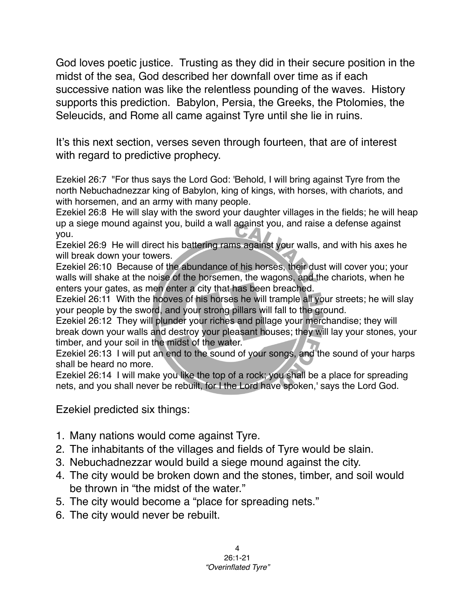God loves poetic justice. Trusting as they did in their secure position in the midst of the sea, God described her downfall over time as if each successive nation was like the relentless pounding of the waves. History supports this prediction. Babylon, Persia, the Greeks, the Ptolomies, the Seleucids, and Rome all came against Tyre until she lie in ruins.

It's this next section, verses seven through fourteen, that are of interest with regard to predictive prophecy.

Ezekiel 26:7 "For thus says the Lord God: 'Behold, I will bring against Tyre from the north Nebuchadnezzar king of Babylon, king of kings, with horses, with chariots, and with horsemen, and an army with many people.

Ezekiel 26:8 He will slay with the sword your daughter villages in the fields; he will heap up a siege mound against you, build a wall against you, and raise a defense against you.

Ezekiel 26:9 He will direct his battering rams against your walls, and with his axes he will break down your towers.

Ezekiel 26:10 Because of the abundance of his horses, their dust will cover you; your walls will shake at the noise of the horsemen, the wagons, and the chariots, when he enters your gates, as men enter a city that has been breached.

Ezekiel 26:11 With the hooves of his horses he will trample all your streets; he will slay your people by the sword, and your strong pillars will fall to the ground.

Ezekiel 26:12 They will plunder your riches and pillage your merchandise; they will break down your walls and destroy your pleasant houses; they will lay your stones, your timber, and your soil in the midst of the water.

Ezekiel 26:13 I will put an end to the sound of your songs, and the sound of your harps shall be heard no more.

Ezekiel 26:14 I will make you like the top of a rock; you shall be a place for spreading nets, and you shall never be rebuilt, for I the Lord have spoken,' says the Lord God.

Ezekiel predicted six things:

- 1. Many nations would come against Tyre.
- 2. The inhabitants of the villages and fields of Tyre would be slain.
- 3. Nebuchadnezzar would build a siege mound against the city.
- 4. The city would be broken down and the stones, timber, and soil would be thrown in "the midst of the water."
- 5. The city would become a "place for spreading nets."
- 6. The city would never be rebuilt.

4 26:1-21 *"Overinflated Tyre"*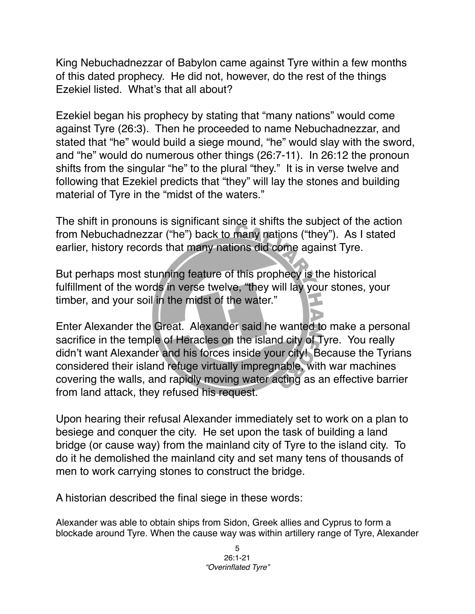King Nebuchadnezzar of Babylon came against Tyre within a few months of this dated prophecy. He did not, however, do the rest of the things Ezekiel listed. What's that all about?

Ezekiel began his prophecy by stating that "many nations" would come against Tyre (26:3). Then he proceeded to name Nebuchadnezzar, and stated that "he" would build a siege mound, "he" would slay with the sword, and "he" would do numerous other things (26:7-11). In 26:12 the pronoun shifts from the singular "he" to the plural "they." It is in verse twelve and following that Ezekiel predicts that "they" will lay the stones and building material of Tyre in the "midst of the waters."

The shift in pronouns is significant since it shifts the subject of the action from Nebuchadnezzar ("he") back to many nations ("they"). As I stated earlier, history records that many nations did come against Tyre.

But perhaps most stunning feature of this prophecy is the historical fulfillment of the words in verse twelve, "they will lay your stones, your timber, and your soil in the midst of the water."

Enter Alexander the Great. Alexander said he wanted to make a personal sacrifice in the temple of Heracles on the island city of Tyre. You really didn't want Alexander and his forces inside your city! Because the Tyrians considered their island refuge virtually impregnable, with war machines covering the walls, and rapidly moving water acting as an effective barrier from land attack, they refused his request.

Upon hearing their refusal Alexander immediately set to work on a plan to besiege and conquer the city. He set upon the task of building a land bridge (or cause way) from the mainland city of Tyre to the island city. To do it he demolished the mainland city and set many tens of thousands of men to work carrying stones to construct the bridge.

A historian described the final siege in these words:

Alexander was able to obtain ships from Sidon, Greek allies and Cyprus to form a blockade around Tyre. When the cause way was within artillery range of Tyre, Alexander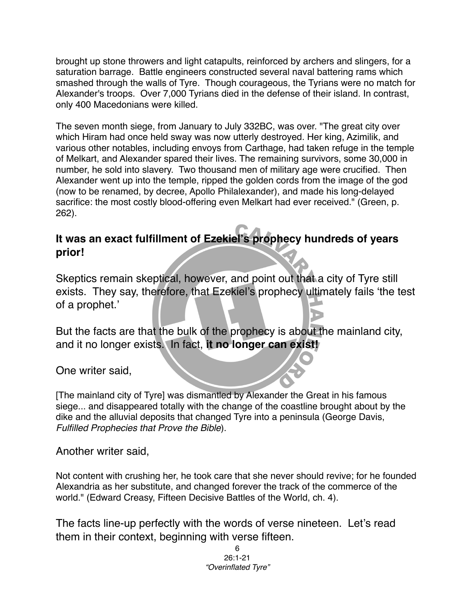brought up stone throwers and light catapults, reinforced by archers and slingers, for a saturation barrage. Battle engineers constructed several naval battering rams which smashed through the walls of Tyre. Though courageous, the Tyrians were no match for Alexander's troops. Over 7,000 Tyrians died in the defense of their island. In contrast, only 400 Macedonians were killed.

The seven month siege, from January to July 332BC, was over. "The great city over which Hiram had once held sway was now utterly destroyed. Her king, Azimilik, and various other notables, including envoys from Carthage, had taken refuge in the temple of Melkart, and Alexander spared their lives. The remaining survivors, some 30,000 in number, he sold into slavery. Two thousand men of military age were crucified. Then Alexander went up into the temple, ripped the golden cords from the image of the god (now to be renamed, by decree, Apollo Philalexander), and made his long-delayed sacrifice: the most costly blood-offering even Melkart had ever received." (Green, p. 262).

## **It was an exact fulfillment of Ezekiel's prophecy hundreds of years prior!**

Skeptics remain skeptical, however, and point out that a city of Tyre still exists. They say, therefore, that Ezekiel's prophecy ultimately fails ʻthe test of a prophet.'

But the facts are that the bulk of the prophecy is about the mainland city, and it no longer exists. In fact, **it no longer can exist!**

One writer said,

[The mainland city of Tyre] was dismantled by Alexander the Great in his famous siege... and disappeared totally with the change of the coastline brought about by the dike and the alluvial deposits that changed Tyre into a peninsula (George Davis, *Fulfilled Prophecies that Prove the Bible*).

Another writer said,

Not content with crushing her, he took care that she never should revive; for he founded Alexandria as her substitute, and changed forever the track of the commerce of the world." (Edward Creasy, Fifteen Decisive Battles of the World, ch. 4).

The facts line-up perfectly with the words of verse nineteen. Let's read them in their context, beginning with verse fifteen.

> 6 26:1-21 *"Overinflated Tyre"*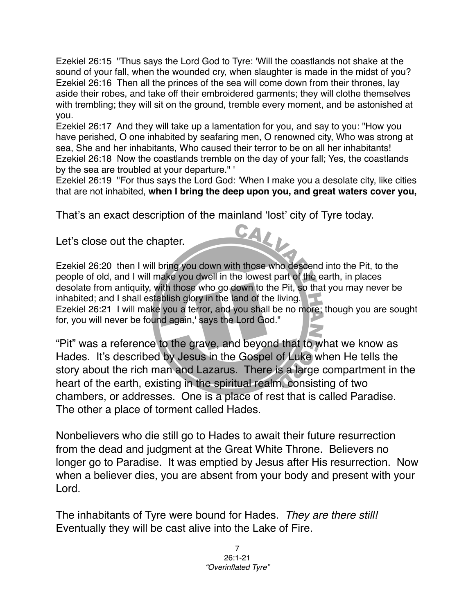Ezekiel 26:15 "Thus says the Lord God to Tyre: 'Will the coastlands not shake at the sound of your fall, when the wounded cry, when slaughter is made in the midst of you? Ezekiel 26:16 Then all the princes of the sea will come down from their thrones, lay aside their robes, and take off their embroidered garments; they will clothe themselves with trembling; they will sit on the ground, tremble every moment, and be astonished at you.

Ezekiel 26:17 And they will take up a lamentation for you, and say to you: "How you have perished, O one inhabited by seafaring men, O renowned city, Who was strong at sea, She and her inhabitants, Who caused their terror to be on all her inhabitants! Ezekiel 26:18 Now the coastlands tremble on the day of your fall; Yes, the coastlands by the sea are troubled at your departure." '

Ezekiel 26:19 "For thus says the Lord God: 'When I make you a desolate city, like cities that are not inhabited, **when I bring the deep upon you, and great waters cover you,**

That's an exact description of the mainland 'lost' city of Tyre today.

Let's close out the chapter.

Ezekiel 26:20 then I will bring you down with those who descend into the Pit, to the people of old, and I will make you dwell in the lowest part of the earth, in places desolate from antiquity, with those who go down to the Pit, so that you may never be inhabited; and I shall establish glory in the land of the living. Ezekiel 26:21 I will make you a terror, and you shall be no more; though you are sought for, you will never be found again,' says the Lord God."

"Pit" was a reference to the grave, and beyond that to what we know as Hades. It's described by Jesus in the Gospel of Luke when He tells the story about the rich man and Lazarus. There is a large compartment in the heart of the earth, existing in the spiritual realm, consisting of two chambers, or addresses. One is a place of rest that is called Paradise. The other a place of torment called Hades.

Nonbelievers who die still go to Hades to await their future resurrection from the dead and judgment at the Great White Throne. Believers no longer go to Paradise. It was emptied by Jesus after His resurrection. Now when a believer dies, you are absent from your body and present with your Lord.

The inhabitants of Tyre were bound for Hades. *They are there still!* Eventually they will be cast alive into the Lake of Fire.